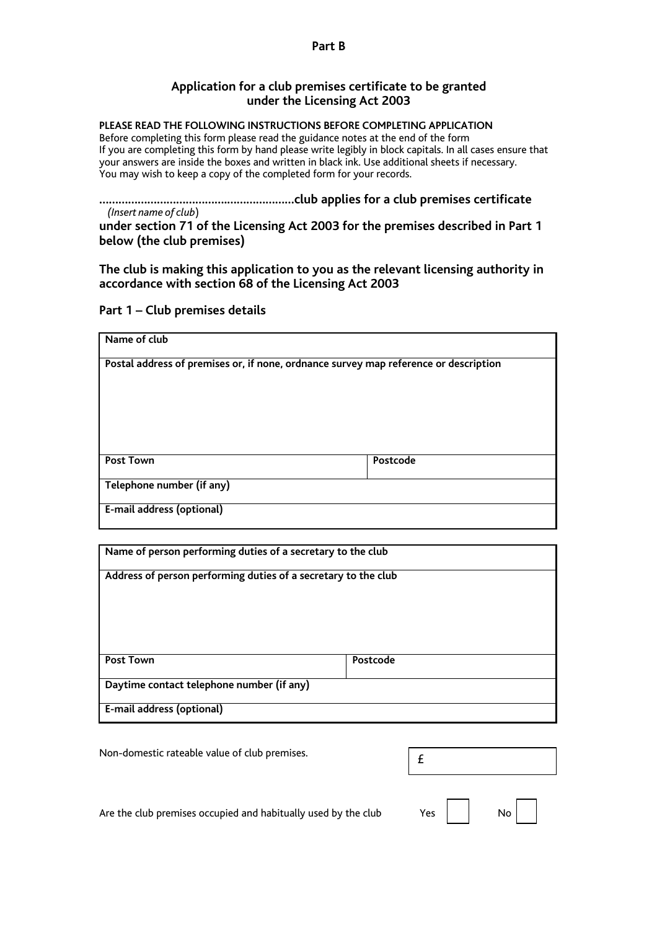#### **Part B**

### **Application for a club premises certificate to be granted under the Licensing Act 2003**

#### **PLEASE READ THE FOLLOWING INSTRUCTIONS BEFORE COMPLETING APPLICATION**

Before completing this form please read the guidance notes at the end of the form If you are completing this form by hand please write legibly in block capitals. In all cases ensure that your answers are inside the boxes and written in black ink. Use additional sheets if necessary. You may wish to keep a copy of the completed form for your records.

**………………………………….…………………club applies for a club premises certificate**   *(Insert name of club*)

**under section 71 of the Licensing Act 2003 for the premises described in Part 1 below (the club premises)** 

**The club is making this application to you as the relevant licensing authority in accordance with section 68 of the Licensing Act 2003** 

### **Part 1 – Club premises details**

| Name of club                                                                         |          |  |  |  |
|--------------------------------------------------------------------------------------|----------|--|--|--|
| Postal address of premises or, if none, ordnance survey map reference or description |          |  |  |  |
| <b>Post Town</b>                                                                     | Postcode |  |  |  |
| Telephone number (if any)                                                            |          |  |  |  |
| E-mail address (optional)                                                            |          |  |  |  |

| Name of person performing duties of a secretary to the club    |          |  |  |  |
|----------------------------------------------------------------|----------|--|--|--|
| Address of person performing duties of a secretary to the club |          |  |  |  |
|                                                                |          |  |  |  |
|                                                                |          |  |  |  |
| <b>Post Town</b>                                               | Postcode |  |  |  |
| Daytime contact telephone number (if any)                      |          |  |  |  |
| E-mail address (optional)                                      |          |  |  |  |

Non-domestic rateable value of club premises.

| £ |  |  |  |
|---|--|--|--|
|   |  |  |  |

Are the club premises occupied and habitually used by the club  $Yes$   $\begin{array}{|c|c|c|c|c|c|} \hline \end{array}$  No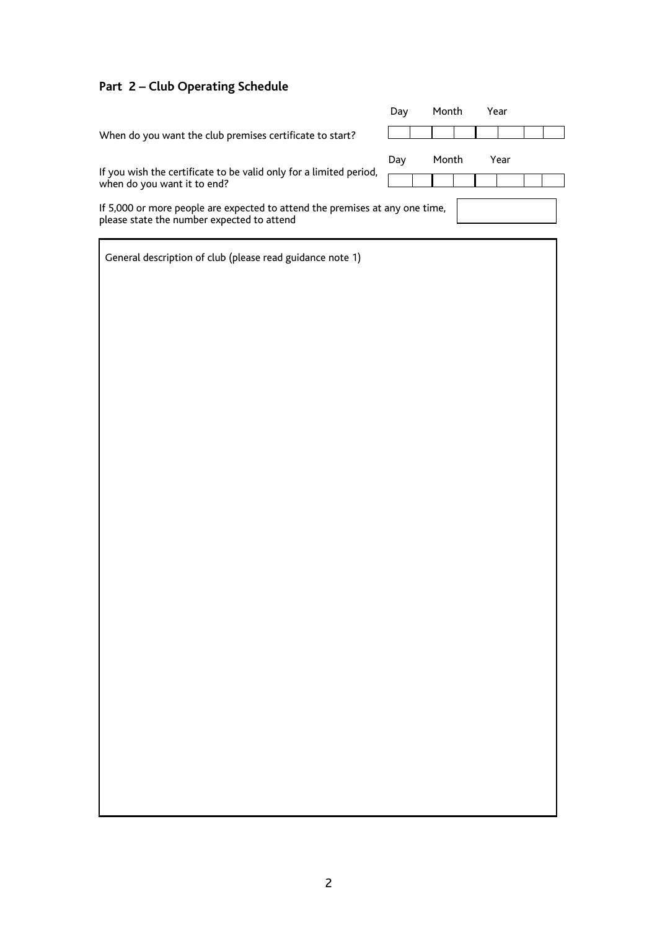### **Part 2 – Club Operating Schedule**

|                                                                                                                            | Day | Month | Year |  |
|----------------------------------------------------------------------------------------------------------------------------|-----|-------|------|--|
| When do you want the club premises certificate to start?                                                                   |     |       |      |  |
|                                                                                                                            | Day | Month | Year |  |
| If you wish the certificate to be valid only for a limited period,<br>when do you want it to end?                          |     |       |      |  |
| If 5,000 or more people are expected to attend the premises at any one time,<br>please state the number expected to attend |     |       |      |  |
| General description of club (please read guidance note 1)                                                                  |     |       |      |  |
|                                                                                                                            |     |       |      |  |
|                                                                                                                            |     |       |      |  |
|                                                                                                                            |     |       |      |  |
|                                                                                                                            |     |       |      |  |
|                                                                                                                            |     |       |      |  |
|                                                                                                                            |     |       |      |  |
|                                                                                                                            |     |       |      |  |
|                                                                                                                            |     |       |      |  |
|                                                                                                                            |     |       |      |  |
|                                                                                                                            |     |       |      |  |
|                                                                                                                            |     |       |      |  |
|                                                                                                                            |     |       |      |  |
|                                                                                                                            |     |       |      |  |
|                                                                                                                            |     |       |      |  |
|                                                                                                                            |     |       |      |  |
|                                                                                                                            |     |       |      |  |
|                                                                                                                            |     |       |      |  |
|                                                                                                                            |     |       |      |  |
|                                                                                                                            |     |       |      |  |
|                                                                                                                            |     |       |      |  |
|                                                                                                                            |     |       |      |  |
|                                                                                                                            |     |       |      |  |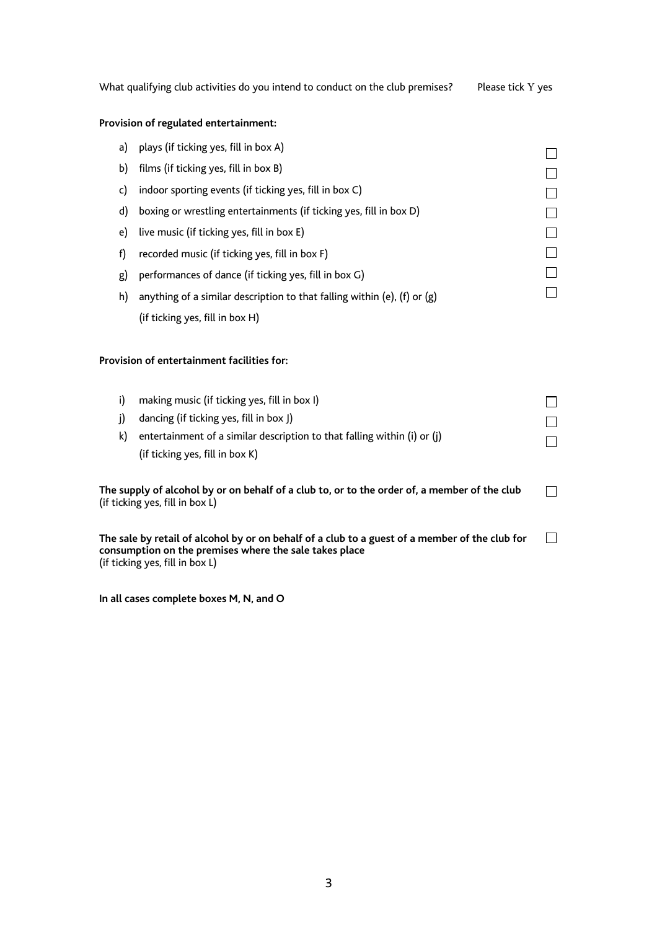| What qualifying club activities do you intend to conduct on the club premises? | Please tick Y ves |  |
|--------------------------------------------------------------------------------|-------------------|--|
|                                                                                |                   |  |

### **Provision of regulated entertainment:**

| a) | plays (if ticking yes, fill in box A)                                                                                           |  |
|----|---------------------------------------------------------------------------------------------------------------------------------|--|
| b) | films (if ticking yes, fill in box B)                                                                                           |  |
| c) | indoor sporting events (if ticking yes, fill in box C)                                                                          |  |
| d) | boxing or wrestling entertainments (if ticking yes, fill in box D)                                                              |  |
| e) | live music (if ticking yes, fill in box E)                                                                                      |  |
| f) | recorded music (if ticking yes, fill in box F)                                                                                  |  |
| g) | performances of dance (if ticking yes, fill in box G)                                                                           |  |
| h) | anything of a similar description to that falling within (e), (f) or $(g)$                                                      |  |
|    | (if ticking yes, fill in box H)                                                                                                 |  |
|    | Provision of entertainment facilities for:                                                                                      |  |
| i) | making music (if ticking yes, fill in box I)                                                                                    |  |
| j) | dancing (if ticking yes, fill in box J)                                                                                         |  |
| k) | entertainment of a similar description to that falling within (i) or (j)                                                        |  |
|    | (if ticking yes, fill in box K)                                                                                                 |  |
|    | The supply of alcohol by or on behalf of a club to, or to the order of, a member of the club<br>(if ticking yes, fill in box L) |  |

 $\Box$ **The sale by retail of alcohol by or on behalf of a club to a guest of a member of the club for consumption on the premises where the sale takes place**  (if ticking yes, fill in box L)

**In all cases complete boxes M, N, and O**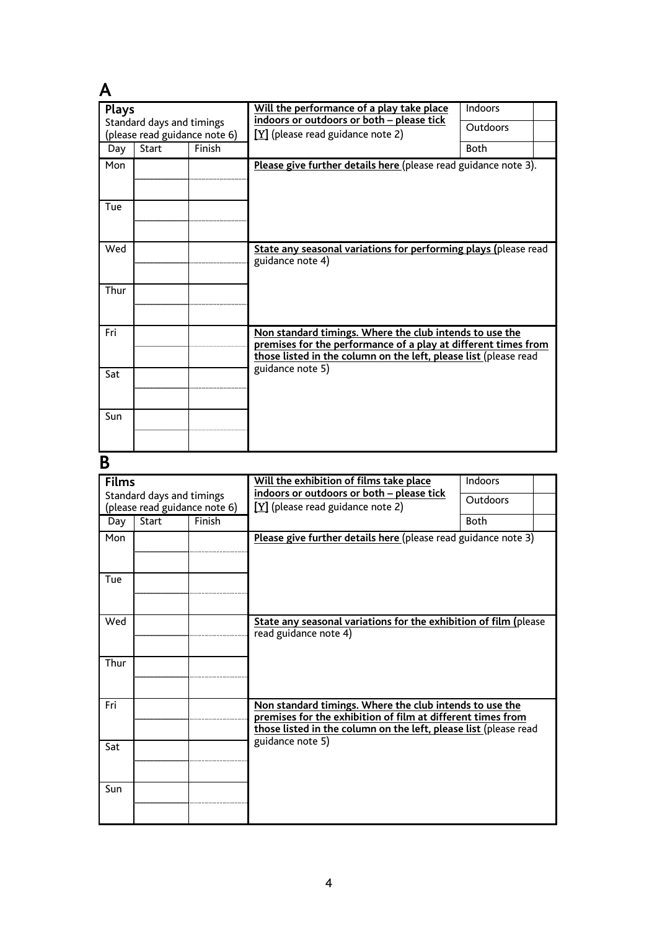| <b>Plays</b><br>Standard days and timings |                               |        | Will the performance of a play take place<br>Indoors<br>indoors or outdoors or both - please tick                                                                                             |                 |  |  |
|-------------------------------------------|-------------------------------|--------|-----------------------------------------------------------------------------------------------------------------------------------------------------------------------------------------------|-----------------|--|--|
|                                           | (please read guidance note 6) |        | $[Y]$ (please read guidance note 2)                                                                                                                                                           | <b>Outdoors</b> |  |  |
| Day                                       | <b>Start</b>                  | Finish |                                                                                                                                                                                               | <b>Both</b>     |  |  |
| Mon                                       |                               |        | Please give further details here (please read guidance note 3).                                                                                                                               |                 |  |  |
| Tue                                       |                               |        |                                                                                                                                                                                               |                 |  |  |
| Wed                                       |                               |        | State any seasonal variations for performing plays (please read<br>guidance note 4)                                                                                                           |                 |  |  |
| Thur                                      |                               |        |                                                                                                                                                                                               |                 |  |  |
| Fri                                       |                               |        | Non standard timings. Where the club intends to use the<br>premises for the performance of a play at different times from<br>those listed in the column on the left, please list (please read |                 |  |  |
| Sat                                       |                               |        | guidance note 5)                                                                                                                                                                              |                 |  |  |
| Sun                                       |                               |        |                                                                                                                                                                                               |                 |  |  |

# **B**

| <b>Films</b>                                               |              |        | Will the exhibition of films take place                                                                                                                                                    | Indoors     |  |
|------------------------------------------------------------|--------------|--------|--------------------------------------------------------------------------------------------------------------------------------------------------------------------------------------------|-------------|--|
| Standard days and timings<br>(please read guidance note 6) |              |        | indoors or outdoors or both - please tick<br>$[Y]$ (please read guidance note 2)                                                                                                           | Outdoors    |  |
| Day                                                        | <b>Start</b> | Finish |                                                                                                                                                                                            | <b>Both</b> |  |
| Mon                                                        |              |        | Please give further details here (please read guidance note 3)                                                                                                                             |             |  |
| Tue                                                        |              |        |                                                                                                                                                                                            |             |  |
| Wed                                                        |              |        | State any seasonal variations for the exhibition of film (please<br>read guidance note 4)                                                                                                  |             |  |
| Thur                                                       |              |        |                                                                                                                                                                                            |             |  |
| Fri                                                        |              |        | Non standard timings. Where the club intends to use the<br>premises for the exhibition of film at different times from<br>those listed in the column on the left, please list (please read |             |  |
| Sat                                                        |              |        | guidance note 5)                                                                                                                                                                           |             |  |
| Sun                                                        |              |        |                                                                                                                                                                                            |             |  |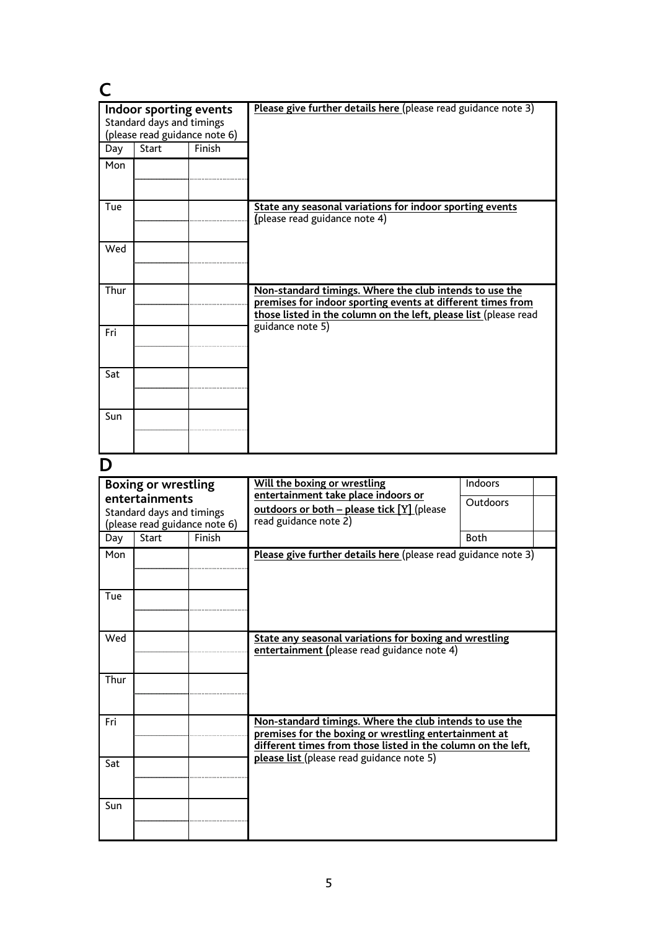| Indoor sporting events<br>Standard days and timings<br>(please read guidance note 6) |              |        | Please give further details here (please read guidance note 3)                                                                                                                             |
|--------------------------------------------------------------------------------------|--------------|--------|--------------------------------------------------------------------------------------------------------------------------------------------------------------------------------------------|
| Day                                                                                  | <b>Start</b> | Finish |                                                                                                                                                                                            |
| Mon                                                                                  |              |        |                                                                                                                                                                                            |
| Tue                                                                                  |              |        | State any seasonal variations for indoor sporting events<br>(please read guidance note 4)                                                                                                  |
| Wed                                                                                  |              |        |                                                                                                                                                                                            |
| Thur                                                                                 |              |        | Non-standard timings. Where the club intends to use the<br>premises for indoor sporting events at different times from<br>those listed in the column on the left, please list (please read |
| Fri                                                                                  |              |        | guidance note 5)                                                                                                                                                                           |
| Sat                                                                                  |              |        |                                                                                                                                                                                            |
| Sun                                                                                  |              |        |                                                                                                                                                                                            |

## **D**

| <b>Boxing or wrestling</b>                  |                               |        | Will the boxing or wrestling<br>entertainment take place indoors or                                                                                                              | Indoors  |  |
|---------------------------------------------|-------------------------------|--------|----------------------------------------------------------------------------------------------------------------------------------------------------------------------------------|----------|--|
| entertainments<br>Standard days and timings |                               |        | outdoors or both - please tick [Y] (please                                                                                                                                       | Outdoors |  |
|                                             | (please read guidance note 6) |        | read guidance note 2)                                                                                                                                                            |          |  |
| Day                                         | <b>Start</b>                  | Finish | <b>Both</b>                                                                                                                                                                      |          |  |
| Mon                                         |                               |        | Please give further details here (please read guidance note 3)                                                                                                                   |          |  |
| Tue                                         |                               |        |                                                                                                                                                                                  |          |  |
| Wed                                         |                               |        | State any seasonal variations for boxing and wrestling<br>entertainment (please read guidance note 4)                                                                            |          |  |
| Thur                                        |                               |        |                                                                                                                                                                                  |          |  |
| Fri                                         |                               |        | Non-standard timings. Where the club intends to use the<br>premises for the boxing or wrestling entertainment at<br>different times from those listed in the column on the left, |          |  |
| Sat                                         |                               |        | please list (please read guidance note 5)                                                                                                                                        |          |  |
| Sun                                         |                               |        |                                                                                                                                                                                  |          |  |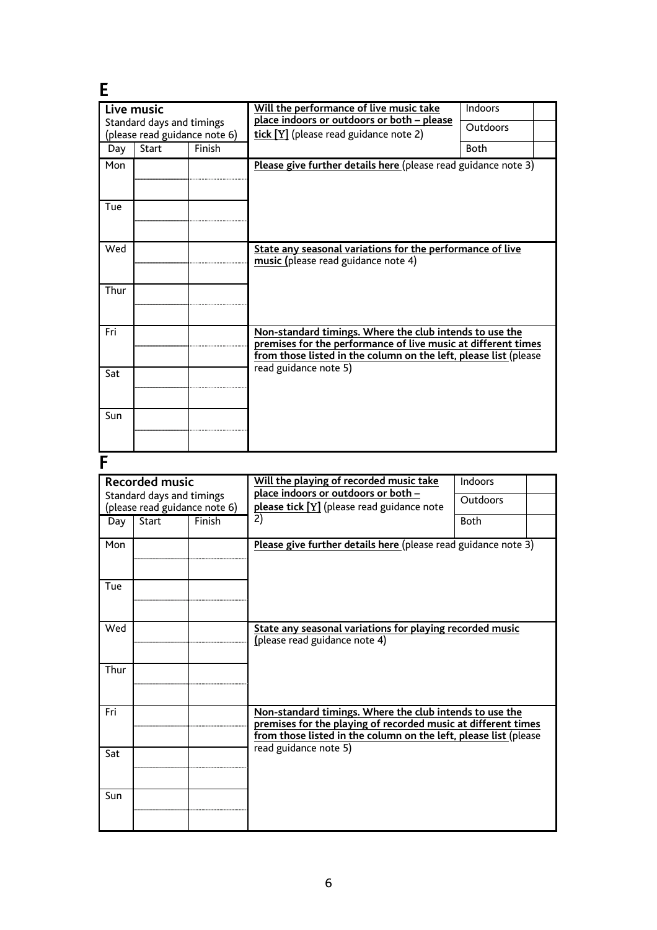| Ε                                                          |                                                            |        |                                                                                                                                                                                              |             |  |  |  |
|------------------------------------------------------------|------------------------------------------------------------|--------|----------------------------------------------------------------------------------------------------------------------------------------------------------------------------------------------|-------------|--|--|--|
|                                                            | Live music                                                 |        | Will the performance of live music take<br>Indoors<br>place indoors or outdoors or both - please                                                                                             |             |  |  |  |
| Standard days and timings<br>(please read guidance note 6) |                                                            |        | tick [Y] (please read guidance note 2)                                                                                                                                                       | Outdoors    |  |  |  |
| Day                                                        | <b>Start</b>                                               | Finish | <b>Both</b>                                                                                                                                                                                  |             |  |  |  |
| Mon                                                        |                                                            |        | Please give further details here (please read guidance note 3)                                                                                                                               |             |  |  |  |
| Tue                                                        |                                                            |        |                                                                                                                                                                                              |             |  |  |  |
| Wed                                                        |                                                            |        | State any seasonal variations for the performance of live<br>music (please read guidance note 4)                                                                                             |             |  |  |  |
| Thur                                                       |                                                            |        |                                                                                                                                                                                              |             |  |  |  |
| Fri                                                        |                                                            |        | Non-standard timings. Where the club intends to use the<br>premises for the performance of live music at different times<br>from those listed in the column on the left, please list (please |             |  |  |  |
| Sat                                                        |                                                            |        | read guidance note 5)                                                                                                                                                                        |             |  |  |  |
| Sun                                                        |                                                            |        |                                                                                                                                                                                              |             |  |  |  |
| F                                                          |                                                            |        |                                                                                                                                                                                              |             |  |  |  |
|                                                            | <b>Recorded music</b>                                      |        | Will the playing of recorded music take                                                                                                                                                      | Indoors     |  |  |  |
|                                                            | Standard days and timings<br>(please read guidance note 6) |        | place indoors or outdoors or both -<br>please tick [Y] (please read guidance note                                                                                                            | Outdoors    |  |  |  |
|                                                            | Day Start                                                  | Finish | 2)                                                                                                                                                                                           | <b>Roth</b> |  |  |  |

|      | Standard days and timings<br>(please read guidance note 6) |        | place indoors or outdoors or both –<br>please tick [Y] (please read guidance note                                                                                                            | Outdoors    |
|------|------------------------------------------------------------|--------|----------------------------------------------------------------------------------------------------------------------------------------------------------------------------------------------|-------------|
| Day  | Start                                                      | Finish | $\overline{2}$                                                                                                                                                                               | <b>Both</b> |
| Mon  |                                                            |        | Please give further details here (please read guidance note 3)                                                                                                                               |             |
| Tue  |                                                            |        |                                                                                                                                                                                              |             |
| Wed  |                                                            |        | State any seasonal variations for playing recorded music<br>(please read guidance note 4)                                                                                                    |             |
| Thur |                                                            |        |                                                                                                                                                                                              |             |
| Fri  |                                                            |        | Non-standard timings. Where the club intends to use the<br>premises for the playing of recorded music at different times<br>from those listed in the column on the left, please list (please |             |
| Sat  |                                                            |        | read guidance note 5)                                                                                                                                                                        |             |
| Sun  |                                                            |        |                                                                                                                                                                                              |             |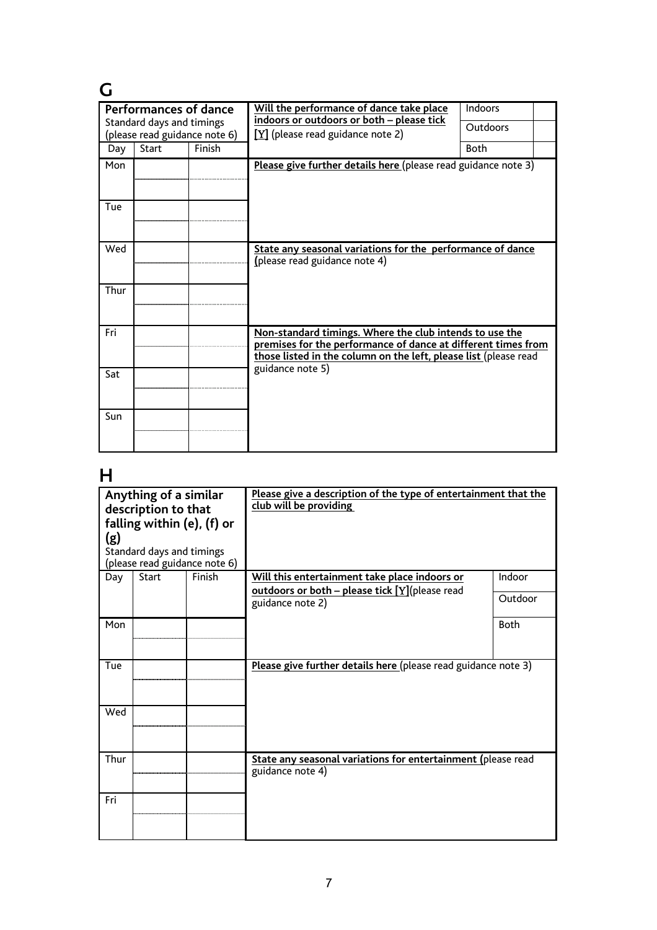| G                     |                                                            |        |                                                                                                                                                                                              |                 |
|-----------------------|------------------------------------------------------------|--------|----------------------------------------------------------------------------------------------------------------------------------------------------------------------------------------------|-----------------|
| Performances of dance |                                                            |        | Will the performance of dance take place<br>indoors or outdoors or both - please tick                                                                                                        | Indoors         |
|                       | Standard days and timings<br>(please read guidance note 6) |        | $[Y]$ (please read guidance note 2)                                                                                                                                                          | <b>Outdoors</b> |
| Day                   | <b>Start</b>                                               | Finish |                                                                                                                                                                                              | <b>Both</b>     |
| Mon                   |                                                            |        | Please give further details here (please read guidance note 3)                                                                                                                               |                 |
| Tue                   |                                                            |        |                                                                                                                                                                                              |                 |
| Wed                   |                                                            |        | State any seasonal variations for the performance of dance<br>(please read guidance note 4)                                                                                                  |                 |
| Thur                  |                                                            |        |                                                                                                                                                                                              |                 |
| Fri                   |                                                            |        | Non-standard timings. Where the club intends to use the<br>premises for the performance of dance at different times from<br>those listed in the column on the left, please list (please read |                 |
| Sat                   |                                                            |        | guidance note 5)                                                                                                                                                                             |                 |
| Sun                   |                                                            |        |                                                                                                                                                                                              |                 |

## **H**

| Anything of a similar<br>description to that<br>falling within (e), (f) or<br>(g)<br>Standard days and timings<br>(please read guidance note 6) |              |        | Please give a description of the type of entertainment that the<br>club will be providing |             |
|-------------------------------------------------------------------------------------------------------------------------------------------------|--------------|--------|-------------------------------------------------------------------------------------------|-------------|
| Day                                                                                                                                             | <b>Start</b> | Finish | Will this entertainment take place indoors or                                             | Indoor      |
|                                                                                                                                                 |              |        | outdoors or both - please tick [Y](please read<br>guidance note 2)                        | Outdoor     |
| Mon                                                                                                                                             |              |        |                                                                                           | <b>Both</b> |
| Tue                                                                                                                                             |              |        | Please give further details here (please read guidance note 3)                            |             |
| Wed                                                                                                                                             |              |        |                                                                                           |             |
| Thur                                                                                                                                            |              |        | State any seasonal variations for entertainment (please read<br>guidance note 4)          |             |
| Fri                                                                                                                                             |              |        |                                                                                           |             |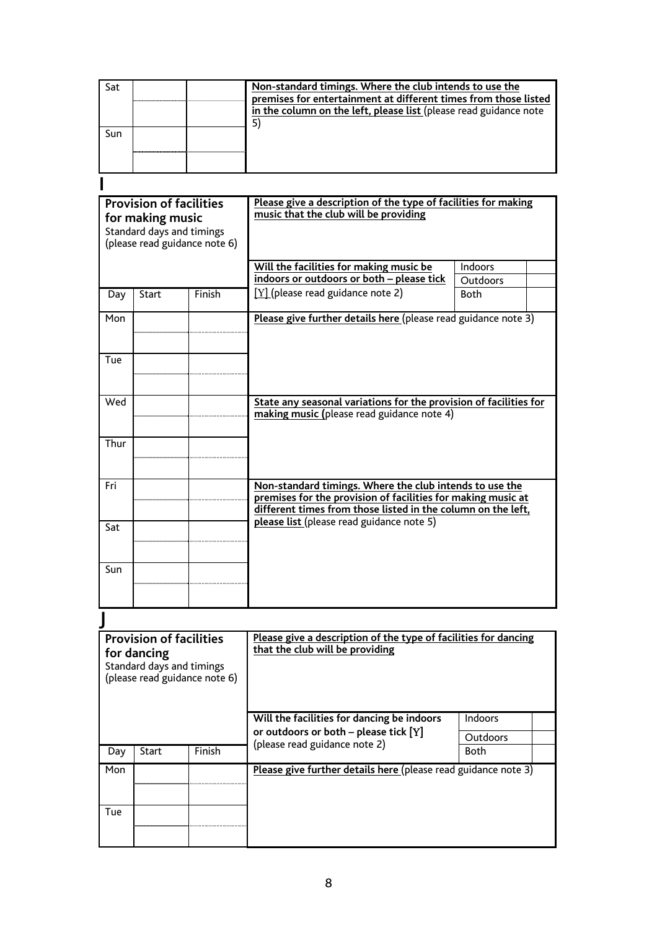| Sat                                                                                                              |                                                                                                             |        | Non-standard timings. Where the club intends to use the<br>premises for entertainment at different times from those listed<br>in the column on the left, please list (please read guidance note |                         |
|------------------------------------------------------------------------------------------------------------------|-------------------------------------------------------------------------------------------------------------|--------|-------------------------------------------------------------------------------------------------------------------------------------------------------------------------------------------------|-------------------------|
| Sun                                                                                                              |                                                                                                             |        | 5)                                                                                                                                                                                              |                         |
|                                                                                                                  |                                                                                                             |        |                                                                                                                                                                                                 |                         |
| <b>Provision of facilities</b><br>for making music<br>Standard days and timings<br>(please read guidance note 6) |                                                                                                             |        | Please give a description of the type of facilities for making<br>music that the club will be providing                                                                                         |                         |
|                                                                                                                  |                                                                                                             |        | Will the facilities for making music be                                                                                                                                                         | <b>Indoors</b>          |
| Day                                                                                                              | Start                                                                                                       | Finish | indoors or outdoors or both - please tick<br>$[Y]$ (please read guidance note 2)                                                                                                                | Outdoors<br><b>Both</b> |
| Mon                                                                                                              |                                                                                                             |        | Please give further details here (please read guidance note 3)                                                                                                                                  |                         |
| Tue                                                                                                              |                                                                                                             |        |                                                                                                                                                                                                 |                         |
| Wed                                                                                                              |                                                                                                             |        | State any seasonal variations for the provision of facilities for<br>making music (please read guidance note 4)                                                                                 |                         |
| Thur                                                                                                             |                                                                                                             |        |                                                                                                                                                                                                 |                         |
| Fri                                                                                                              |                                                                                                             |        | Non-standard timings. Where the club intends to use the<br>premises for the provision of facilities for making music at<br>different times from those listed in the column on the left,         |                         |
| Sat                                                                                                              |                                                                                                             |        | please list (please read guidance note 5)                                                                                                                                                       |                         |
| Sun                                                                                                              |                                                                                                             |        |                                                                                                                                                                                                 |                         |
|                                                                                                                  |                                                                                                             |        |                                                                                                                                                                                                 |                         |
|                                                                                                                  | <b>Provision of facilities</b><br>for dancing<br>Standard days and timings<br>(please read guidance note 6) |        | Please give a description of the type of facilities for dancing<br>that the club will be providing                                                                                              |                         |
|                                                                                                                  |                                                                                                             |        | Will the facilities for dancing be indoors                                                                                                                                                      | <b>Indoors</b>          |
|                                                                                                                  |                                                                                                             |        | or outdoors or both $-$ please tick $[Y]$<br>(please read guidance note 2)                                                                                                                      | Outdoors                |
| Day                                                                                                              | <b>Start</b>                                                                                                | Finish |                                                                                                                                                                                                 | <b>Both</b>             |
| Mon                                                                                                              |                                                                                                             |        | Please give further details here (please read guidance note 3)                                                                                                                                  |                         |
| Tue                                                                                                              |                                                                                                             |        |                                                                                                                                                                                                 |                         |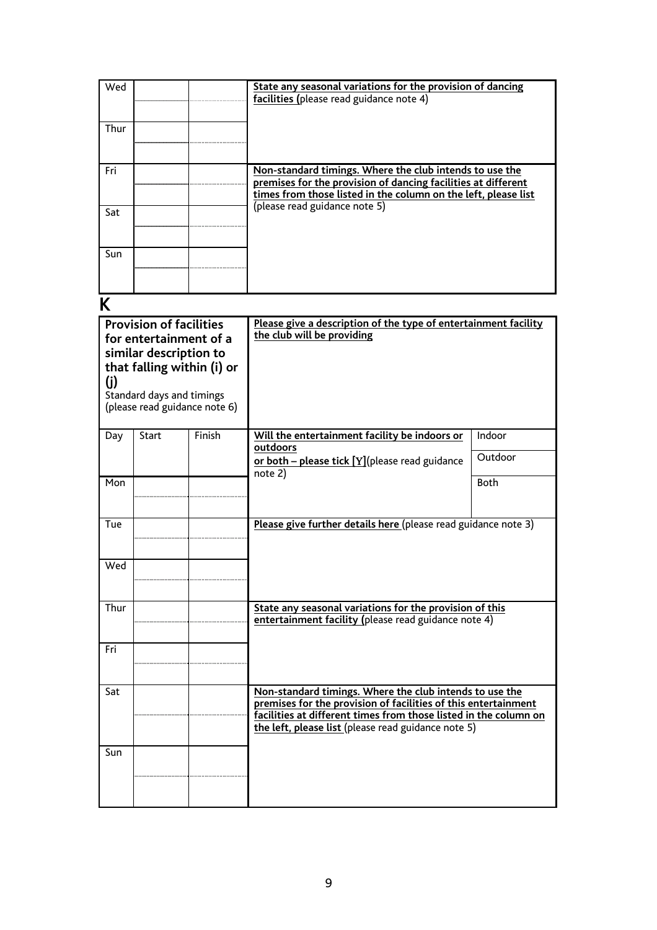| Wed  |                                                                                                                                                                                |        | State any seasonal variations for the provision of dancing<br>facilities (please read guidance note 4)                                                                                                                                               |             |
|------|--------------------------------------------------------------------------------------------------------------------------------------------------------------------------------|--------|------------------------------------------------------------------------------------------------------------------------------------------------------------------------------------------------------------------------------------------------------|-------------|
| Thur |                                                                                                                                                                                |        |                                                                                                                                                                                                                                                      |             |
| Fri  |                                                                                                                                                                                |        | Non-standard timings. Where the club intends to use the<br>premises for the provision of dancing facilities at different<br>times from those listed in the column on the left, please list                                                           |             |
| Sat  |                                                                                                                                                                                |        | (please read guidance note 5)                                                                                                                                                                                                                        |             |
| Sun  |                                                                                                                                                                                |        |                                                                                                                                                                                                                                                      |             |
| K    |                                                                                                                                                                                |        |                                                                                                                                                                                                                                                      |             |
| (j)  | <b>Provision of facilities</b><br>for entertainment of a<br>similar description to<br>that falling within (i) or<br>Standard days and timings<br>(please read guidance note 6) |        | Please give a description of the type of entertainment facility<br>the club will be providing                                                                                                                                                        |             |
| Day  | <b>Start</b>                                                                                                                                                                   | Finish | Will the entertainment facility be indoors or<br>outdoors                                                                                                                                                                                            | Indoor      |
|      |                                                                                                                                                                                |        | or both - please tick [Y](please read guidance<br>note 2)                                                                                                                                                                                            | Outdoor     |
| Mon  |                                                                                                                                                                                |        |                                                                                                                                                                                                                                                      | <b>Both</b> |
| Tue  |                                                                                                                                                                                |        | Please give further details here (please read guidance note 3)                                                                                                                                                                                       |             |
| Wed  |                                                                                                                                                                                |        |                                                                                                                                                                                                                                                      |             |
| Thur |                                                                                                                                                                                |        | State any seasonal variations for the provision of this<br>entertainment facility (please read guidance note 4)                                                                                                                                      |             |
| Fri  |                                                                                                                                                                                |        |                                                                                                                                                                                                                                                      |             |
| Sat  |                                                                                                                                                                                |        | Non-standard timings. Where the club intends to use the<br>premises for the provision of facilities of this entertainment<br>facilities at different times from those listed in the column on<br>the left, please list (please read guidance note 5) |             |
| Sun  |                                                                                                                                                                                |        |                                                                                                                                                                                                                                                      |             |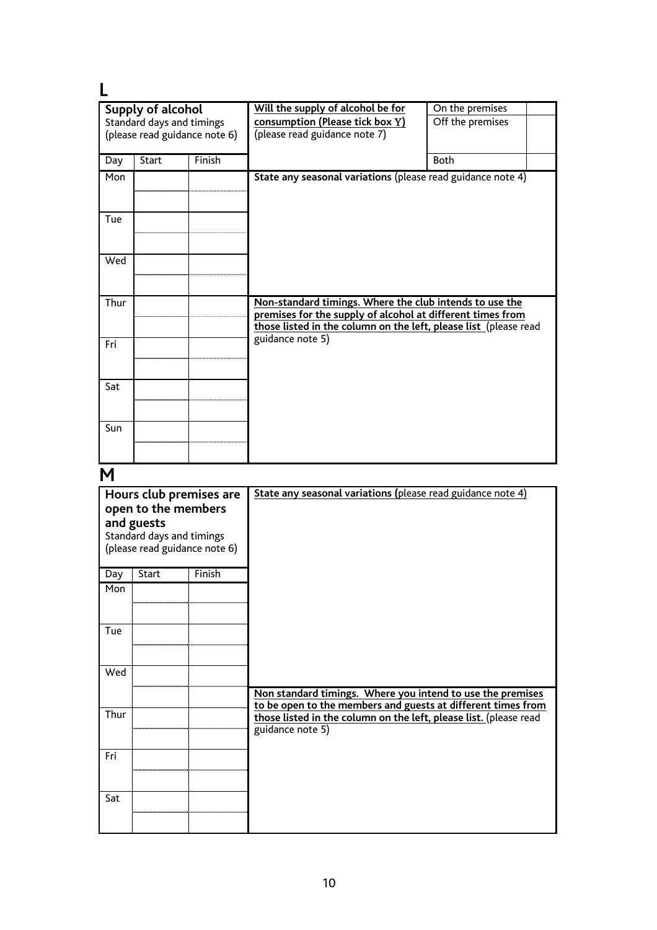| Supply of alcohol |                               |        | Will the supply of alcohol be for                                | On the premises  |
|-------------------|-------------------------------|--------|------------------------------------------------------------------|------------------|
|                   | Standard days and timings     |        | consumption (Please tick box Y)                                  | Off the premises |
|                   | (please read guidance note 6) |        | (please read guidance note 7)                                    |                  |
|                   |                               |        |                                                                  |                  |
| Day               | <b>Start</b>                  | Finish |                                                                  | <b>Both</b>      |
| Mon               |                               |        | State any seasonal variations (please read guidance note 4)      |                  |
|                   |                               |        |                                                                  |                  |
|                   |                               |        |                                                                  |                  |
| Tue               |                               |        |                                                                  |                  |
|                   |                               |        |                                                                  |                  |
|                   |                               |        |                                                                  |                  |
| Wed               |                               |        |                                                                  |                  |
|                   |                               |        |                                                                  |                  |
| Thur              |                               |        | Non-standard timings. Where the club intends to use the          |                  |
|                   |                               |        | premises for the supply of alcohol at different times from       |                  |
|                   |                               |        | those listed in the column on the left, please list (please read |                  |
| Fri               |                               |        | guidance note 5)                                                 |                  |
|                   |                               |        |                                                                  |                  |
|                   |                               |        |                                                                  |                  |
| Sat               |                               |        |                                                                  |                  |
|                   |                               |        |                                                                  |                  |
|                   |                               |        |                                                                  |                  |
| Sun               |                               |        |                                                                  |                  |
|                   |                               |        |                                                                  |                  |
|                   |                               |        |                                                                  |                  |

# **M**

| Hours club premises are<br>open to the members<br>and guests<br>Standard days and timings<br>(please read guidance note 6) |       |        | State any seasonal variations (please read guidance note 4)                                                                |
|----------------------------------------------------------------------------------------------------------------------------|-------|--------|----------------------------------------------------------------------------------------------------------------------------|
| Day                                                                                                                        | Start | Finish |                                                                                                                            |
| Mon                                                                                                                        |       |        |                                                                                                                            |
| Tue                                                                                                                        |       |        |                                                                                                                            |
| Wed                                                                                                                        |       |        |                                                                                                                            |
|                                                                                                                            |       |        | Non standard timings. Where you intend to use the premises<br>to be open to the members and guests at different times from |
| Thur                                                                                                                       |       |        | those listed in the column on the left, please list. (please read<br>guidance note 5)                                      |
| Fri                                                                                                                        |       |        |                                                                                                                            |
| Sat                                                                                                                        |       |        |                                                                                                                            |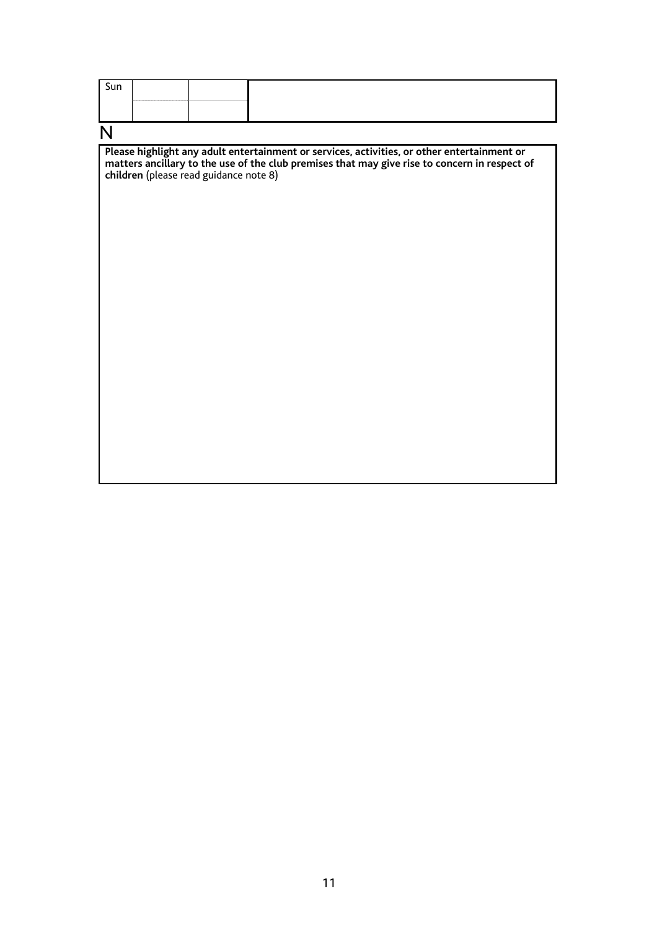| Sun |  |  |
|-----|--|--|
|     |  |  |
|     |  |  |

N

**Please highlight any adult entertainment or services, activities, or other entertainment or matters ancillary to the use of the club premises that may give rise to concern in respect of children** (please read guidance note 8)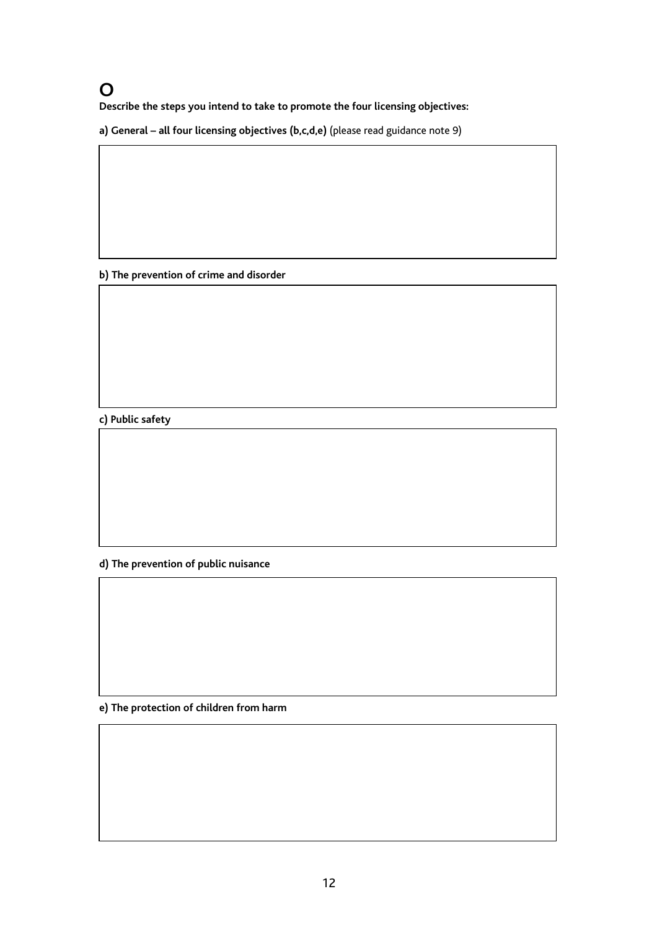### **O**

**Describe the steps you intend to take to promote the four licensing objectives:** 

**a) General – all four licensing objectives (b,c,d,e)** (please read guidance note 9)

**b) The prevention of crime and disorder**

**c) Public safety**

**d) The prevention of public nuisance** 

**e) The protection of children from harm**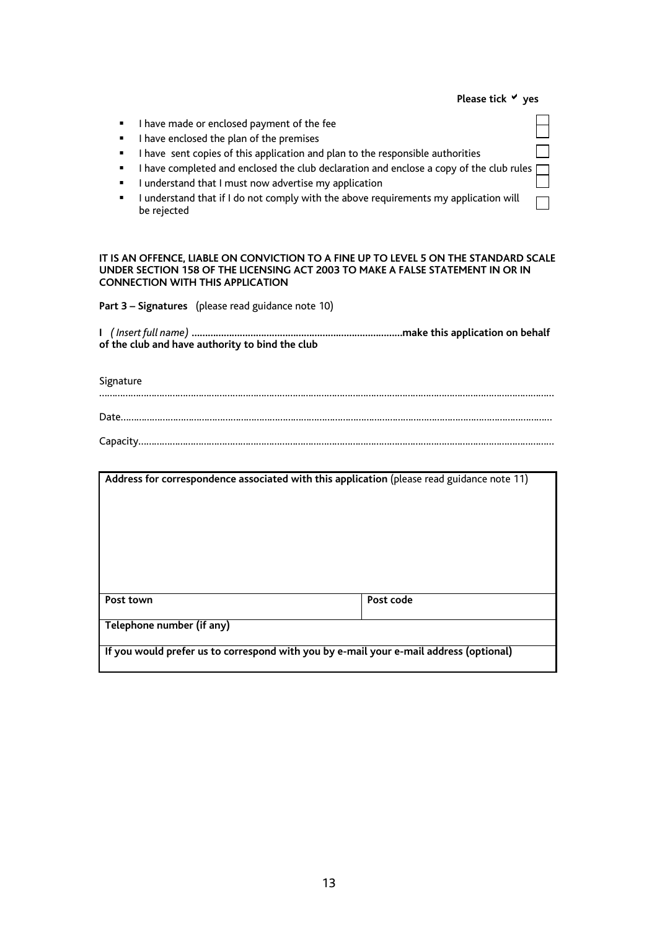|                                                                                                                                                                                                                                                                                                | Please tick V yes |
|------------------------------------------------------------------------------------------------------------------------------------------------------------------------------------------------------------------------------------------------------------------------------------------------|-------------------|
| I have made or enclosed payment of the fee<br>٠<br>I have enclosed the plan of the premises<br>٠<br>I have sent copies of this application and plan to the responsible authorities<br>٠<br>I have completed and enclosed the club declaration and enclose a copy of the club rules $\Box$<br>٠ |                   |
| I understand that I must now advertise my application<br>٠<br>I understand that if I do not comply with the above requirements my application will<br>٠<br>be rejected                                                                                                                         |                   |

**IT IS AN OFFENCE, LIABLE ON CONVICTION TO A FINE UP TO LEVEL 5 ON THE STANDARD SCALE UNDER SECTION 158 OF THE LICENSING ACT 2003 TO MAKE A FALSE STATEMENT IN OR IN CONNECTION WITH THIS APPLICATION** 

**Part 3 – Signatures** (please read guidance note 10)

|  | of the club and have authority to bind the club |  |
|--|-------------------------------------------------|--|

### Signature

|                           | Address for correspondence associated with this application (please read guidance note 11) |
|---------------------------|--------------------------------------------------------------------------------------------|
|                           |                                                                                            |
|                           |                                                                                            |
|                           |                                                                                            |
|                           |                                                                                            |
|                           |                                                                                            |
| Post town                 | Post code                                                                                  |
| Telephone number (if any) |                                                                                            |
|                           |                                                                                            |